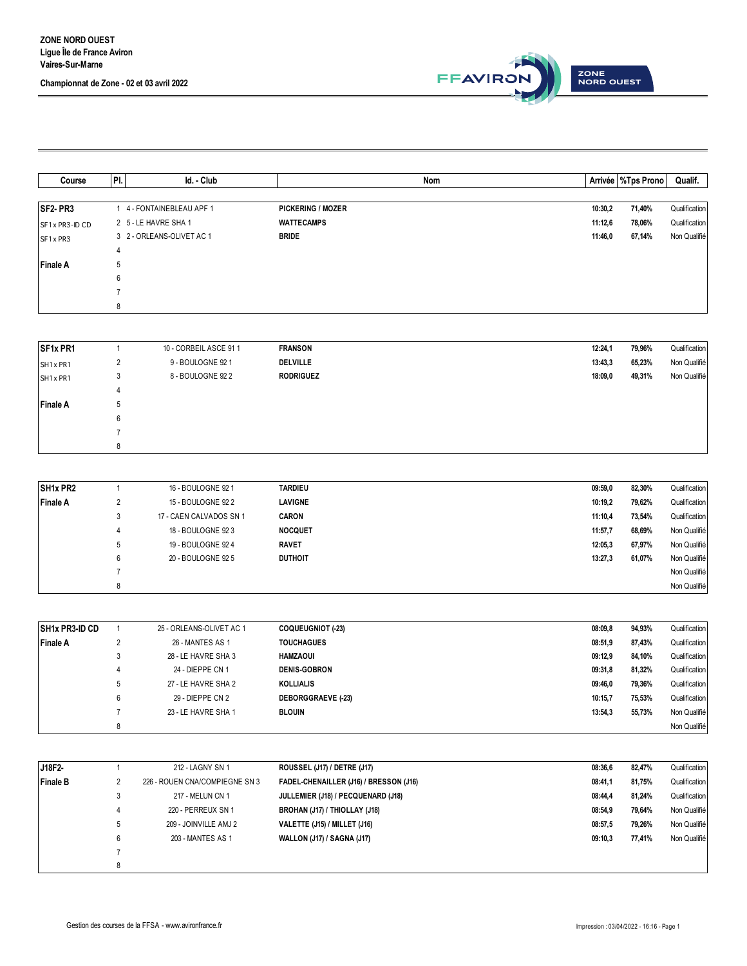

| Course          | IPI.I       | ld. - Club                |                          | Nom |         | Arrivée   %Tps Prono | Qualif.       |
|-----------------|-------------|---------------------------|--------------------------|-----|---------|----------------------|---------------|
|                 |             |                           |                          |     |         |                      |               |
| SF2-PR3         |             | 1 4 - FONTAINEBLEAU APF 1 | <b>PICKERING / MOZER</b> |     | 10:30,2 | 71,40%               | Qualification |
| SF1x PR3-ID CD  |             | 2 5 - LE HAVRE SHA 1      | <b>WATTECAMPS</b>        |     | 11:12,6 | 78,06%               | Qualification |
| SF1xPR3         |             | 3 2 - ORLEANS-OLIVET AC 1 | <b>BRIDE</b>             |     | 11:46,0 | 67,14%               | Non Qualifié  |
|                 | 4           |                           |                          |     |         |                      |               |
| <b>Finale A</b> | $\mathbf b$ |                           |                          |     |         |                      |               |
|                 | 6           |                           |                          |     |         |                      |               |
|                 |             |                           |                          |     |         |                      |               |
|                 | 8           |                           |                          |     |         |                      |               |

| SF1x PR1        |         | 10 - CORBEIL ASCE 911 | <b>FRANSON</b>   | 12:24,1 | 79,96% | Qualification |
|-----------------|---------|-----------------------|------------------|---------|--------|---------------|
| SH1x PR1        | ے       | 9 - BOULOGNE 921      | <b>DELVILLE</b>  | 13:43,3 | 65,23% | Non Qualifié  |
| SH1x PR1        | 3       | 8 - BOULOGNE 922      | <b>RODRIGUEZ</b> | 18:09,0 | 49,31% | Non Qualifié  |
|                 | 4       |                       |                  |         |        |               |
| <b>Finale A</b> | 5       |                       |                  |         |        |               |
|                 | 6       |                       |                  |         |        |               |
|                 |         |                       |                  |         |        |               |
|                 | $\circ$ |                       |                  |         |        |               |

| <b>SH1x PR2</b> |    | 16 - BOULOGNE 921       | <b>TARDIEU</b> | 09:59,0 | 82,30% | Qualification |
|-----------------|----|-------------------------|----------------|---------|--------|---------------|
| <b>Finale A</b> |    | 15 - BOULOGNE 922       | <b>LAVIGNE</b> | 10:19,2 | 79,62% | Qualification |
|                 | J. | 17 - CAEN CALVADOS SN 1 | <b>CARON</b>   | 11:10,4 | 73,54% | Qualification |
|                 |    | 18 - BOULOGNE 923       | <b>NOCQUET</b> | 11:57.7 | 68,69% | Non Qualifié  |
|                 | 5  | 19 - BOULOGNE 924       | <b>RAVET</b>   | 12:05,3 | 67,97% | Non Qualifié  |
|                 | 6  | 20 - BOULOGNE 92 5      | <b>DUTHOIT</b> | 13:27,3 | 61,07% | Non Qualifié  |
|                 |    |                         |                |         |        | Non Qualifié  |
|                 | 8  |                         |                |         |        | Non Qualifié  |

| <b>SH1x PR3-ID CD</b> |    | 25 - ORLEANS-OLIVET AC 1 | <b>COQUEUGNIOT (-23)</b> | 08:09,8 | 94,93% | Qualification |
|-----------------------|----|--------------------------|--------------------------|---------|--------|---------------|
| <b>Finale A</b>       |    | 26 - MANTES AS 1         | <b>TOUCHAGUES</b>        | 08:51,9 | 87,43% | Qualification |
|                       | J. | 28 - LE HAVRE SHA 3      | <b>HAMZAOUI</b>          | 09:12,9 | 84,10% | Qualification |
|                       |    | 24 - DIEPPE CN 1         | <b>DENIS-GOBRON</b>      | 09:31,8 | 81,32% | Qualification |
|                       | 5  | 27 - LE HAVRE SHA 2      | KOLLIALIS                | 09:46.0 | 79,36% | Qualification |
|                       | 6  | 29 - DIEPPE CN 2         | DEBORGGRAEVE (-23)       | 10:15,7 | 75,53% | Qualification |
|                       |    | 23 - LE HAVRE SHA 1      | <b>BLOUIN</b>            | 13:54,3 | 55,73% | Non Qualifié  |
|                       | c  |                          |                          |         |        | Non Qualifié  |

| J18F2-          |   | 212 - LAGNY SN 1               | ROUSSEL (J17) / DETRE (J17)            | 08:36,6 | 82,47% | Qualification |
|-----------------|---|--------------------------------|----------------------------------------|---------|--------|---------------|
| <b>Finale B</b> | ے | 226 - ROUEN CNA/COMPIEGNE SN 3 | FADEL-CHENAILLER (J16) / BRESSON (J16) | 08:41.1 | 81,75% | Qualification |
|                 |   | 217 - MELUN CN 1               | JULLEMIER (J18) / PECQUENARD (J18)     | 08:44.4 | 81.24% | Qualification |
|                 |   | 220 - PERREUX SN 1             | BROHAN (J17) / THIOLLAY (J18)          | 08:54.9 | 79,64% | Non Qualifié  |
|                 |   | 209 - JOINVILLE AMJ 2          | VALETTE (J15) / MILLET (J16)           | 08:57.5 | 79,26% | Non Qualifié  |
|                 |   | 203 - MANTES AS 1              | WALLON (J17) / SAGNA (J17)             | 09:10.3 | 77,41% | Non Qualifié  |
|                 |   |                                |                                        |         |        |               |
|                 |   |                                |                                        |         |        |               |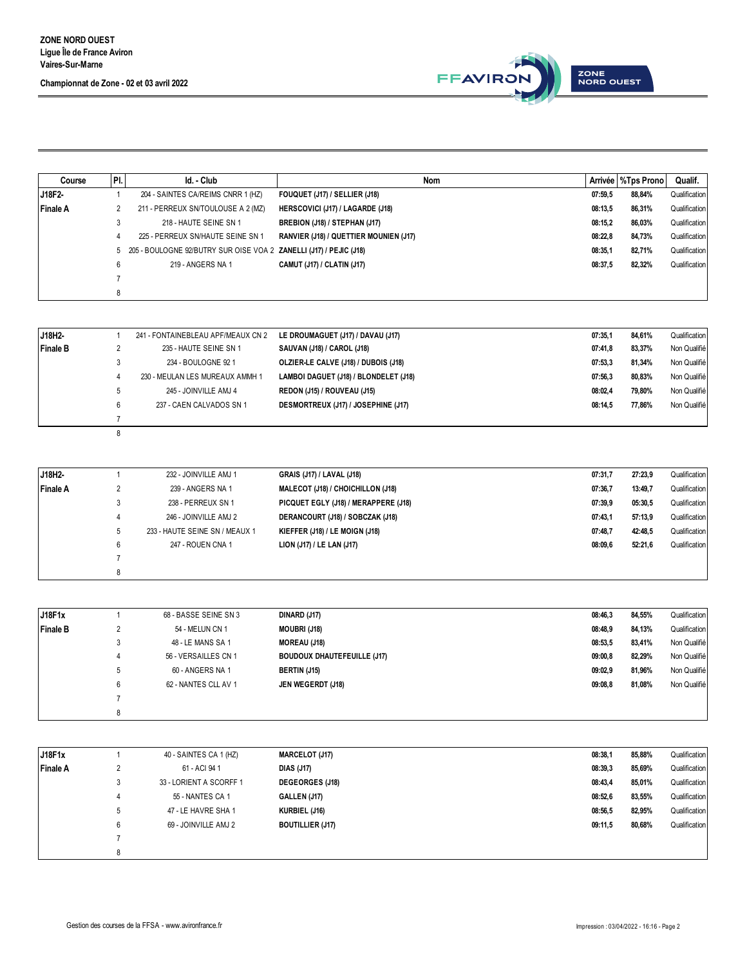I



| Course   | PI. | Id. - Club                                                           | <b>Nom</b>                             |         | Arrivée   %Tps Prono | Qualif.       |
|----------|-----|----------------------------------------------------------------------|----------------------------------------|---------|----------------------|---------------|
| J18F2-   |     | 204 - SAINTES CA/REIMS CNRR 1 (HZ)                                   | FOUQUET (J17) / SELLIER (J18)          | 07:59.5 | 88,84%               | Qualification |
| Finale A |     | 211 - PERREUX SN/TOULOUSE A 2 (MZ)                                   | HERSCOVICI (J17) / LAGARDE (J18)       | 08:13.5 | 86,31%               | Qualification |
|          | J   | 218 - HAUTE SEINE SN 1                                               | BREBION (J18) / STEPHAN (J17)          | 08:15.2 | 86,03%               | Qualification |
|          |     | 225 - PERREUX SN/HAUTE SEINE SN 1                                    | RANVIER (J18) / QUETTIER MOUNIEN (J17) | 08:22.8 | 84,73%               | Qualification |
|          |     | 5 205 - BOULOGNE 92/BUTRY SUR OISE VOA 2 ZANELLI (J17) / PEJIC (J18) |                                        | 08:35.1 | 82,71%               | Qualification |
|          | 6   | 219 - ANGERS NA 1                                                    | CAMUT (J17) / CLATIN (J17)             | 08:37.5 | 82,32%               | Qualification |
|          |     |                                                                      |                                        |         |                      |               |
|          |     |                                                                      |                                        |         |                      |               |

| J18H2-          | 241 - FONTAINEBLEAU APF/MEAUX CN 2 | LE DROUMAGUET (J17) / DAVAU (J17)     | 07:35.1 | 84.61% | Qualification |
|-----------------|------------------------------------|---------------------------------------|---------|--------|---------------|
| <b>Finale B</b> | 235 - HAUTE SEINE SN 1             | SAUVAN (J18) / CAROL (J18)            | 07:41.8 | 83.37% | Non Qualifié  |
|                 | 234 - BOULOGNE 92 1                | OLZIER-LE CALVE (J18) / DUBOIS (J18)  | 07:53.3 | 81.34% | Non Qualifié  |
|                 | 230 - MEULAN LES MUREAUX AMMH 1    | LAMBOI DAGUET (J18) / BLONDELET (J18) | 07:56.3 | 80.83% | Non Qualifié  |
|                 | 245 - JOINVILLE AMJ 4              | REDON (J15) / ROUVEAU (J15)           | 08:02.4 | 79.80% | Non Qualifié  |
|                 | 237 - CAEN CALVADOS SN 1           | DESMORTREUX (J17) / JOSEPHINE (J17)   | 08:14.5 | 77,86% | Non Qualifié  |
|                 |                                    |                                       |         |        |               |
|                 |                                    |                                       |         |        |               |

| J18H2-          |   | 232 - JOINVILLE AMJ 1          | GRAIS (J17) / LAVAL (J18)                | 07:31,7 | 27:23,9 | Qualification |
|-----------------|---|--------------------------------|------------------------------------------|---------|---------|---------------|
| <b>Finale A</b> |   | 239 - ANGERS NA 1              | <b>MALECOT (J18) / CHOICHILLON (J18)</b> | 07:36,7 | 13:49,7 | Qualification |
|                 | w | 238 - PERREUX SN 1             | PICQUET EGLY (J18) / MERAPPERE (J18)     | 07:39,9 | 05:30,5 | Qualification |
|                 |   | 246 - JOINVILLE AMJ 2          | DERANCOURT (J18) / SOBCZAK (J18)         | 07:43,1 | 57:13,9 | Qualification |
|                 |   | 233 - HAUTE SEINE SN / MEAUX 1 | KIEFFER (J18) / LE MOIGN (J18)           | 07:48.7 | 42:48.5 | Qualification |
|                 |   | 247 - ROUEN CNA 1              | LION (J17) / LE LAN (J17)                | 08:09.6 | 52:21,6 | Qualification |
|                 |   |                                |                                          |         |         |               |
|                 |   |                                |                                          |         |         |               |

| J18F1x          |    | 68 - BASSE SEINE SN 3 | DINARD (J17)                       | 08:46,3 | 84,55% | Qualification |
|-----------------|----|-----------------------|------------------------------------|---------|--------|---------------|
| <b>Finale B</b> |    | 54 - MELUN CN 1       | <b>MOUBRI (J18)</b>                | 08:48,9 | 84,13% | Qualification |
|                 | J. | 48 - LE MANS SA 1     | <b>MOREAU (J18)</b>                | 08:53,5 | 83,41% | Non Qualifié  |
|                 |    | 56 - VERSAILLES CN 1  | <b>BOUDOUX DHAUTEFEUILLE (J17)</b> | 09:00.8 | 82,29% | Non Qualifié  |
|                 | 5  | 60 - ANGERS NA 1      | <b>BERTIN (J15)</b>                | 09:02.9 | 81,96% | Non Qualifié  |
|                 | 6  | 62 - NANTES CLL AV 1  | JEN WEGERDT (J18)                  | 09:08.8 | 81,08% | Non Qualifié  |
|                 |    |                       |                                    |         |        |               |
|                 |    |                       |                                    |         |        |               |

| J18F1x          |    | 40 - SAINTES CA 1 (HZ)  | <b>MARCELOT (J17)</b>   | 08:38,1 | 85,88% | Qualification |
|-----------------|----|-------------------------|-------------------------|---------|--------|---------------|
| <b>Finale A</b> | ◠  | 61 - ACI 941            | <b>DIAS (J17)</b>       | 08:39.3 | 85,69% | Qualification |
|                 | J. | 33 - LORIENT A SCORFF 1 | <b>DEGEORGES (J18)</b>  | 08:43,4 | 85,01% | Qualification |
|                 |    | 55 - NANTES CA 1        | GALLEN (J17)            | 08:52.6 | 83,55% | Qualification |
|                 | 5  | 47 - LE HAVRE SHA 1     | KURBIEL (J16)           | 08:56,5 | 82,95% | Qualification |
|                 | 6  | 69 - JOINVILLE AMJ 2    | <b>BOUTILLIER (J17)</b> | 09:11,5 | 80,68% | Qualification |
|                 |    |                         |                         |         |        |               |
|                 | 8  |                         |                         |         |        |               |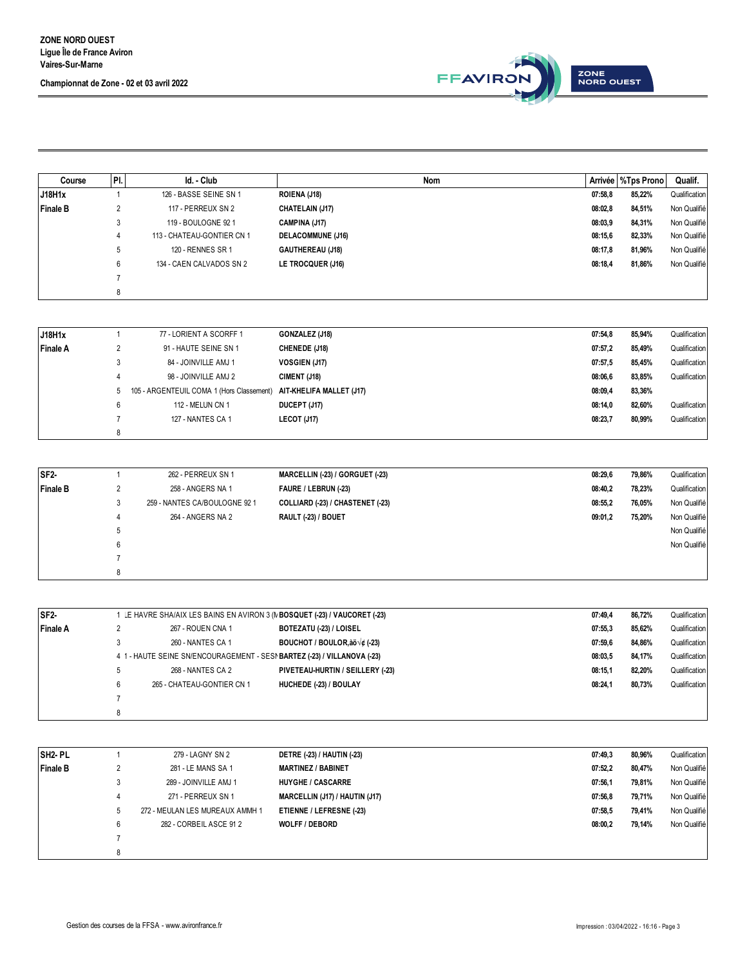

| Course          | PI.         | Id. - Club                 |                          | <b>Nom</b> |         | Arrivée   %Tps Prono | Qualif.       |
|-----------------|-------------|----------------------------|--------------------------|------------|---------|----------------------|---------------|
| J18H1x          |             | 126 - BASSE SEINE SN 1     | ROIENA (J18)             |            | 07:58,8 | 85,22%               | Qualification |
| <b>Finale B</b> |             | 117 - PERREUX SN 2         | <b>CHATELAIN (J17)</b>   |            | 08:02,8 | 84,51%               | Non Qualifié  |
|                 |             | 119 - BOULOGNE 921         | CAMPINA (J17)            |            | 08:03.9 | 84,31%               | Non Qualifié  |
|                 | 4           | 113 - CHATEAU-GONTIER CN 1 | <b>DELACOMMUNE (J16)</b> |            | 08:15,6 | 82,33%               | Non Qualifié  |
|                 | $5^{\circ}$ | 120 - RENNES SR 1          | <b>GAUTHEREAU (J18)</b>  |            | 08:17,8 | 81,96%               | Non Qualifié  |
|                 | 6           | 134 - CAEN CALVADOS SN 2   | LE TROCQUER (J16)        |            | 08:18.4 | 81,86%               | Non Qualifié  |
|                 |             |                            |                          |            |         |                      |               |
|                 | 8           |                            |                          |            |         |                      |               |

| J18H1x          |    | 77 - LORIENT A SCORFF 1                                            | GONZALEZ (J18)       | 07:54.8 | 85,94% | Qualification |
|-----------------|----|--------------------------------------------------------------------|----------------------|---------|--------|---------------|
|                 |    |                                                                    |                      |         |        |               |
| <b>Finale A</b> |    | 91 - HAUTE SEINE SN 1                                              | <b>CHENEDE (J18)</b> | 07:57,2 | 85,49% | Qualification |
|                 | J. | 84 - JOINVILLE AMJ 1                                               | <b>VOSGIEN (J17)</b> | 07:57,5 | 85,45% | Qualification |
|                 |    | 98 - JOINVILLE AMJ 2                                               | CIMENT (J18)         | 08:06.6 | 83,85% | Qualification |
|                 | 5  | 105 - ARGENTEUIL COMA 1 (Hors Classement) AIT-KHELIFA MALLET (J17) |                      | 08:09.4 | 83,36% |               |
|                 | 6  | 112 - MELUN CN 1                                                   | DUCEPT (J17)         | 08:14.0 | 82,60% | Qualification |
|                 |    | 127 - NANTES CA 1                                                  | LECOT (J17)          | 08:23.7 | 80,99% | Qualification |
|                 | 8  |                                                                    |                      |         |        |               |

| SF <sub>2</sub> |   | 262 - PERREUX SN 1            | MARCELLIN (-23) / GORGUET (-23)  | 08:29,6 | 79,86% | Qualification |
|-----------------|---|-------------------------------|----------------------------------|---------|--------|---------------|
| <b>Finale B</b> |   | 258 - ANGERS NA 1             | FAURE / LEBRUN (-23)             | 08:40.2 | 78,23% | Qualification |
|                 |   | 259 - NANTES CA/BOULOGNE 92 1 | COLLIARD (-23) / CHASTENET (-23) | 08:55,2 | 76,05% | Non Qualifié  |
|                 | л | 264 - ANGERS NA 2             | <b>RAULT (-23) / BOUET</b>       | 09:01,2 | 75,20% | Non Qualifié  |
|                 | 5 |                               |                                  |         |        | Non Qualifié  |
|                 |   |                               |                                  |         |        | Non Qualifié  |
|                 |   |                               |                                  |         |        |               |
|                 |   |                               |                                  |         |        |               |

| SF <sub>2</sub> |                                                                          | E HAVRE SHA/AIX LES BAINS EN AVIRON 3 (N BOSQUET (-23) / VAUCORET (-23) | 07:49.4 | 86,72%        | Qualification |
|-----------------|--------------------------------------------------------------------------|-------------------------------------------------------------------------|---------|---------------|---------------|
| <b>Finale A</b> | 267 - ROUEN CNA 1                                                        | BOTEZATU (-23) / LOISEL                                                 | 07:55.3 | 85,62%        | Qualification |
|                 | 260 - NANTES CA 1                                                        | BOUCHOT / BOULOR, $\dot{a}\ddot{o}\sqrt{\phi}$ (-23)                    | 07:59.6 | 84.86%        | Qualification |
|                 | 4 1 - HAUTE SEINE SN/ENCOURAGEMENT - SESI BARTEZ (-23) / VILLANOVA (-23) | 08:03.5                                                                 | 84,17%  | Qualification |               |
|                 | 268 - NANTES CA 2                                                        | PIVETEAU-HURTIN / SEILLERY (-23)                                        | 08:15.1 | 82.20%        | Qualification |
|                 | 265 - CHATEAU-GONTIER CN 1                                               | HUCHEDE (-23) / BOULAY                                                  | 08:24.1 | 80.73%        | Qualification |
|                 |                                                                          |                                                                         |         |               |               |
|                 |                                                                          |                                                                         |         |               |               |

| SH <sub>2</sub> - PL | 279 - LAGNY SN 2                | <b>DETRE (-23) / HAUTIN (-23)</b>     | 07:49.3 | 80,96% | Qualification |
|----------------------|---------------------------------|---------------------------------------|---------|--------|---------------|
| <b>Finale B</b>      | 281 - LE MANS SA 1              | <b>MARTINEZ / BABINET</b>             | 07:52.2 | 80,47% | Non Qualifié  |
|                      | 289 - JOINVILLE AMJ 1           | <b>HUYGHE / CASCARRE</b>              | 07:56.1 | 79,81% | Non Qualifié  |
|                      | 271 - PERREUX SN 1              | <b>MARCELLIN (J17) / HAUTIN (J17)</b> | 07:56.8 | 79,71% | Non Qualifié  |
|                      | 272 - MEULAN LES MUREAUX AMMH 1 | ETIENNE / LEFRESNE (-23)              | 07:58,5 | 79,41% | Non Qualifié  |
|                      | 282 - CORBEIL ASCE 91 2         | <b>WOLFF / DEBORD</b>                 | 08:00.2 | 79,14% | Non Qualifié  |
|                      |                                 |                                       |         |        |               |
|                      |                                 |                                       |         |        |               |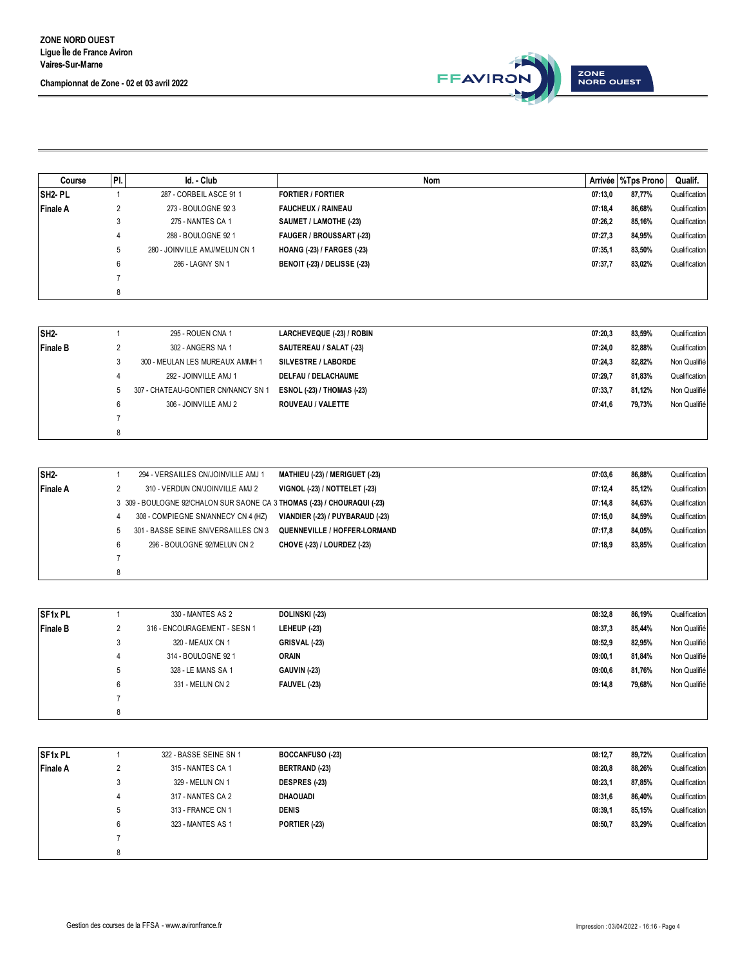

| Course          | PI.      | Id. - Club                     | <b>Nom</b>                          |         | Arrivée   %Tps Prono | Qualif.       |
|-----------------|----------|--------------------------------|-------------------------------------|---------|----------------------|---------------|
| <b>SH2-PL</b>   |          | 287 - CORBEIL ASCE 911         | <b>FORTIER / FORTIER</b>            | 07:13,0 | 87,77%               | Qualification |
| <b>Finale A</b> | <u>.</u> | 273 - BOULOGNE 92 3            | <b>FAUCHEUX / RAINEAU</b>           | 07:18.4 | 86,68%               | Qualification |
|                 | 3        | 275 - NANTES CA 1              | <b>SAUMET / LAMOTHE (-23)</b>       | 07:26,2 | 85,16%               | Qualification |
|                 | 4        | 288 - BOULOGNE 92 1            | <b>FAUGER / BROUSSART (-23)</b>     | 07:27.3 | 84,95%               | Qualification |
|                 | 5        | 280 - JOINVILLE AMJ/MELUN CN 1 | <b>HOANG (-23) / FARGES (-23)</b>   | 07:35,1 | 83,50%               | Qualification |
|                 | 6        | 286 - LAGNY SN 1               | <b>BENOIT (-23) / DELISSE (-23)</b> | 07:37.7 | 83,02%               | Qualification |
|                 |          |                                |                                     |         |                      |               |
|                 | 8        |                                |                                     |         |                      |               |

| SH <sub>2</sub> |    | 295 - ROUEN CNA 1                   | LARCHEVEQUE (-23) / ROBIN         | 07:20,3 | 83,59% | Qualification |
|-----------------|----|-------------------------------------|-----------------------------------|---------|--------|---------------|
| <b>Finale B</b> |    | 302 - ANGERS NA 1                   | SAUTEREAU / SALAT (-23)           | 07:24.0 | 82,88% | Qualification |
|                 | J. | 300 - MEULAN LES MUREAUX AMMH 1     | <b>SILVESTRE / LABORDE</b>        | 07:24.3 | 82,82% | Non Qualifié  |
|                 |    | 292 - JOINVILLE AMJ 1               | <b>DELFAU / DELACHAUME</b>        | 07:29.7 | 81,83% | Qualification |
|                 |    | 307 - CHATEAU-GONTIER CN/NANCY SN 1 | <b>ESNOL (-23) / THOMAS (-23)</b> | 07:33.7 | 81,12% | Non Qualifié  |
|                 | b  | 306 - JOINVILLE AMJ 2               | ROUVEAU / VALETTE                 | 07:41.6 | 79,73% | Non Qualifié  |
|                 |    |                                     |                                   |         |        |               |
|                 |    |                                     |                                   |         |        |               |

| SH <sub>2</sub> - | 294 - VERSAILLES CN/JOINVILLE AMJ 1                                      | MATHIEU (-23) / MERIGUET (-23)       | 07:03.6 | 86.88% | Qualification |
|-------------------|--------------------------------------------------------------------------|--------------------------------------|---------|--------|---------------|
| <b>Finale A</b>   | 310 - VERDUN CN/JOINVILLE AMJ 2                                          | <b>VIGNOL (-23) / NOTTELET (-23)</b> | 07:12.4 | 85.12% | Qualification |
|                   | 3 309 - BOULOGNE 92/CHALON SUR SAONE CA 3 THOMAS (-23) / CHOURAQUI (-23) |                                      | 07:14.8 | 84.63% | Qualification |
|                   | 308 - COMPIEGNE SN/ANNECY CN 4 (HZ)                                      | VIANDIER (-23) / PUYBARAUD (-23)     | 07:15.0 | 84,59% | Qualification |
|                   | 301 - BASSE SEINE SN/VERSAILLES CN 3                                     | <b>QUENNEVILLE / HOFFER-LORMAND</b>  | 07:17.8 | 84.05% | Qualification |
|                   | 296 - BOULOGNE 92/MELUN CN 2                                             | CHOVE (-23) / LOURDEZ (-23)          | 07:18.9 | 83,85% | Qualification |
|                   |                                                                          |                                      |         |        |               |
|                   |                                                                          |                                      |         |        |               |

| <b>SF1xPL</b>   |     | 330 - MANTES AS 2            | <b>DOLINSKI (-23)</b> | 08:32,8 | 86,19% | Qualification |
|-----------------|-----|------------------------------|-----------------------|---------|--------|---------------|
| <b>Finale B</b> |     | 316 - ENCOURAGEMENT - SESN 1 | LEHEUP (-23)          | 08:37,3 | 85,44% | Non Qualifié  |
|                 | - 0 | 320 - MEAUX CN 1             | GRISVAL (-23)         | 08:52,9 | 82,95% | Non Qualifié  |
|                 |     | 314 - BOULOGNE 92 1          | <b>ORAIN</b>          | 09:00,1 | 81,84% | Non Qualifié  |
|                 | 5   | 328 - LE MANS SA 1           | GAUVIN (-23)          | 09:00,6 | 81,76% | Non Qualifié  |
|                 | 6   | 331 - MELUN CN 2             | <b>FAUVEL (-23)</b>   | 09:14.8 | 79,68% | Non Qualifié  |
|                 |     |                              |                       |         |        |               |
|                 |     |                              |                       |         |        |               |

| <b>SF1x PL</b>  |   | 322 - BASSE SEINE SN 1 | <b>BOCCANFUSO (-23)</b> | 08:12,7 | 89,72% | Qualification |
|-----------------|---|------------------------|-------------------------|---------|--------|---------------|
| <b>Finale A</b> |   | 315 - NANTES CA 1      | <b>BERTRAND (-23)</b>   | 08:20,8 | 88,26% | Qualification |
|                 |   | 329 - MELUN CN 1       | <b>DESPRES (-23)</b>    | 08:23.1 | 87,85% | Qualification |
|                 | 4 | 317 - NANTES CA 2      | <b>DHAOUADI</b>         | 08:31,6 | 86,40% | Qualification |
|                 |   | 313 - FRANCE CN 1      | <b>DENIS</b>            | 08:39,1 | 85,15% | Qualification |
|                 |   | 323 - MANTES AS 1      | PORTIER (-23)           | 08:50,7 | 83,29% | Qualification |
|                 |   |                        |                         |         |        |               |
|                 |   |                        |                         |         |        |               |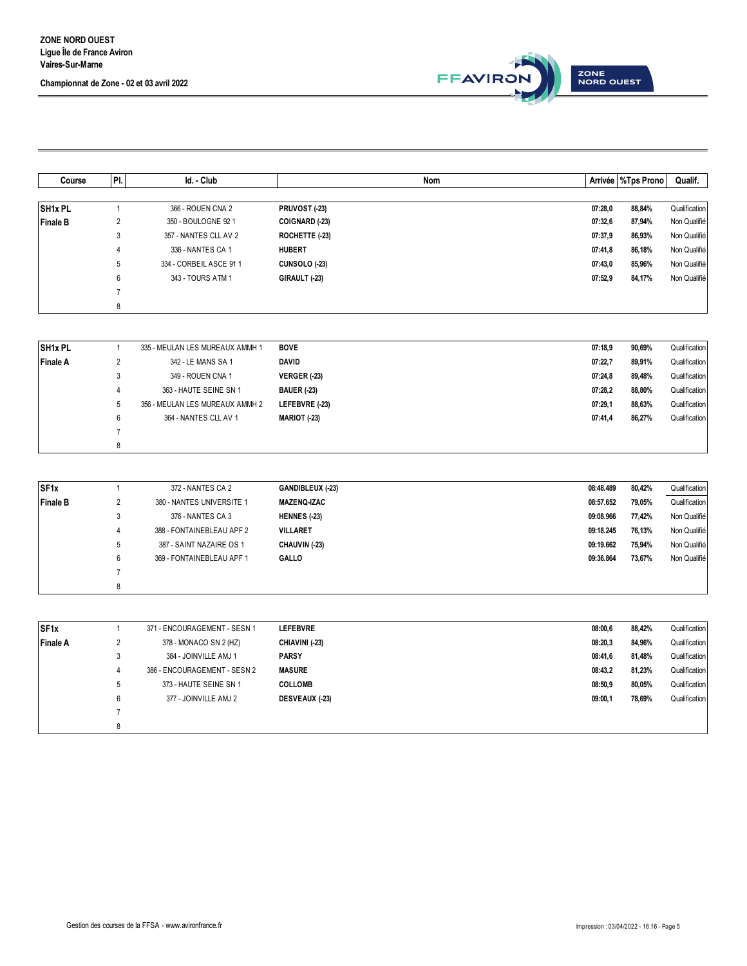

| Course          | PI.    | Id. - Club             |                       | <b>Nom</b> |         | Arrivée   %Tps Prono | Qualif.       |
|-----------------|--------|------------------------|-----------------------|------------|---------|----------------------|---------------|
|                 |        |                        |                       |            |         |                      |               |
| SH1x PL         |        | 366 - ROUEN CNA 2      | PRUVOST (-23)         |            | 07:28,0 | 88,84%               | Qualification |
| <b>Finale B</b> | ↑<br>∠ | 350 - BOULOGNE 92 1    | <b>COIGNARD (-23)</b> |            | 07:32,6 | 87,94%               | Non Qualifié  |
|                 | 3      | 357 - NANTES CLL AV 2  | ROCHETTE (-23)        |            | 07:37,9 | 86,93%               | Non Qualifié  |
|                 | 4      | 336 - NANTES CA 1      | <b>HUBERT</b>         |            | 07:41,8 | 86,18%               | Non Qualifié  |
|                 | 5      | 334 - CORBEIL ASCE 911 | <b>CUNSOLO (-23)</b>  |            | 07:43,0 | 85,96%               | Non Qualifié  |
|                 | 6      | 343 - TOURS ATM 1      | GIRAULT (-23)         |            | 07:52,9 | 84,17%               | Non Qualifié  |
|                 |        |                        |                       |            |         |                      |               |
|                 | 8      |                        |                       |            |         |                      |               |

| <b>SH1x PL</b> |              | 335 - MEULAN LES MUREAUX AMMH 1 | <b>BOVE</b>         | 07:18,9 | 90,69% | Qualification |
|----------------|--------------|---------------------------------|---------------------|---------|--------|---------------|
| Finale A       |              | 342 - LE MANS SA 1              | <b>DAVID</b>        | 07:22.7 | 89,91% | Qualification |
|                | 3            | 349 - ROUEN CNA 1               | <b>VERGER (-23)</b> | 07:24,8 | 89,48% | Qualification |
|                | 4            | 363 - HAUTE SEINE SN 1          | <b>BAUER (-23)</b>  | 07:28.2 | 88,80% | Qualification |
|                | <sub>5</sub> | 356 - MEULAN LES MUREAUX AMMH 2 | LEFEBVRE (-23)      | 07:29.1 | 88,63% | Qualification |
|                | 6            | 364 - NANTES CLL AV 1           | <b>MARIOT (-23)</b> | 07:41,4 | 86,27% | Qualification |
|                |              |                                 |                     |         |        |               |
|                | 8            |                                 |                     |         |        |               |

| SF <sub>1x</sub> |    | 372 - NANTES CA 2         | GANDIBLEUX (-23)     | 08:48.489 | 80,42% | Qualification |
|------------------|----|---------------------------|----------------------|-----------|--------|---------------|
| <b>Finale B</b>  |    | 380 - NANTES UNIVERSITE 1 | <b>MAZENQ-IZAC</b>   | 08:57.652 | 79,05% | Qualification |
|                  | J. | 376 - NANTES CA 3         | <b>HENNES (-23)</b>  | 09:08.966 | 77.42% | Non Qualifié  |
|                  |    | 388 - FONTAINEBLEAU APF 2 | <b>VILLARET</b>      | 09:18.245 | 76,13% | Non Qualifié  |
|                  | 5  | 387 - SAINT NAZAIRE OS 1  | <b>CHAUVIN (-23)</b> | 09:19.662 | 75,94% | Non Qualifié  |
|                  | 6  | 369 - FONTAINEBLEAU APF 1 | <b>GALLO</b>         | 09:36.864 | 73,67% | Non Qualifié  |
|                  |    |                           |                      |           |        |               |
|                  | 8  |                           |                      |           |        |               |

| SF <sub>1x</sub> |    | 371 - ENCOURAGEMENT - SESN 1 | <b>LEFEBVRE</b>       | 08:00,6 | 88,42% | Qualification |
|------------------|----|------------------------------|-----------------------|---------|--------|---------------|
| <b>Finale A</b>  |    | 378 - MONACO SN 2 (HZ)       | CHIAVINI (-23)        | 08:20.3 | 84,96% | Qualification |
|                  | J. | 384 - JOINVILLE AMJ 1        | <b>PARSY</b>          | 08:41.6 | 81,48% | Qualification |
|                  |    | 386 - ENCOURAGEMENT - SESN 2 | <b>MASURE</b>         | 08:43.2 | 81,23% | Qualification |
|                  | 5  | 373 - HAUTE SEINE SN 1       | <b>COLLOMB</b>        | 08:50,9 | 80,05% | Qualification |
|                  | 6  | 377 - JOINVILLE AMJ 2        | <b>DESVEAUX (-23)</b> | 09:00,1 | 78,69% | Qualification |
|                  |    |                              |                       |         |        |               |
|                  |    |                              |                       |         |        |               |